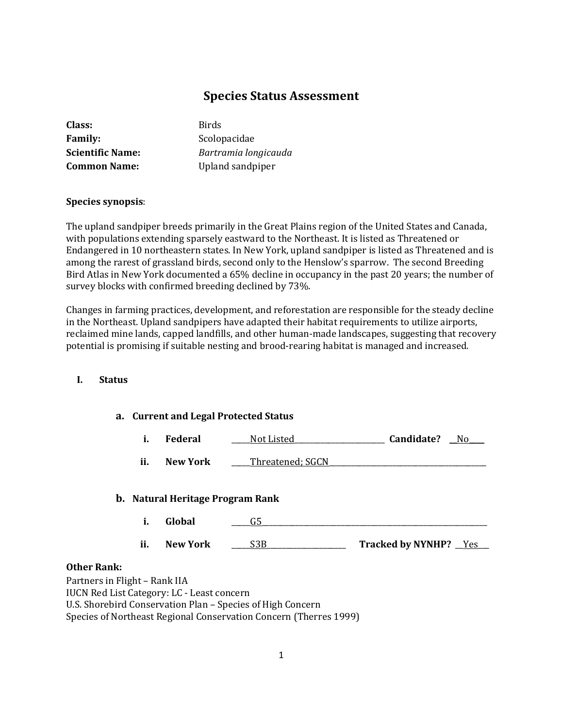# **Species Status Assessment**

| Class:                  | <b>Birds</b>         |
|-------------------------|----------------------|
| <b>Family:</b>          | Scolopacidae         |
| <b>Scientific Name:</b> | Bartramia longicauda |
| <b>Common Name:</b>     | Upland sandpiper     |

**Species synopsis**:

The upland sandpiper breeds primarily in the Great Plains region of the United States and Canada, with populations extending sparsely eastward to the Northeast. It is listed as Threatened or Endangered in 10 northeastern states. In New York, upland sandpiper is listed as Threatened and is among the rarest of grassland birds, second only to the Henslow's sparrow. The second Breeding Bird Atlas in New York documented a 65% decline in occupancy in the past 20 years; the number of survey blocks with confirmed breeding declined by 73%.

Changes in farming practices, development, and reforestation are responsible for the steady decline in the Northeast. Upland sandpipers have adapted their habitat requirements to utilize airports, reclaimed mine lands, capped landfills, and other human-made landscapes, suggesting that recovery potential is promising if suitable nesting and brood-rearing habitat is managed and increased.

### **I. Status**

#### **a. Current and Legal Protected Status**

|  | Federal | Not Listed | Candidate? | N |
|--|---------|------------|------------|---|
|--|---------|------------|------------|---|

**ii.** New York Threatened; SGCN

#### **b. Natural Heritage Program Rank**

- **i.** Global <u>G5</u>
- **ii. New York** \_\_\_\_\_S3B\_\_\_\_\_\_\_\_\_\_\_\_\_\_\_\_\_\_\_\_\_ **Tracked by NYNHP?** \_\_Yes\_\_\_

#### **Other Rank:**

Partners in Flight – Rank IIA IUCN Red List Category: LC - Least concern U.S. Shorebird Conservation Plan – Species of High Concern Species of Northeast Regional Conservation Concern (Therres 1999)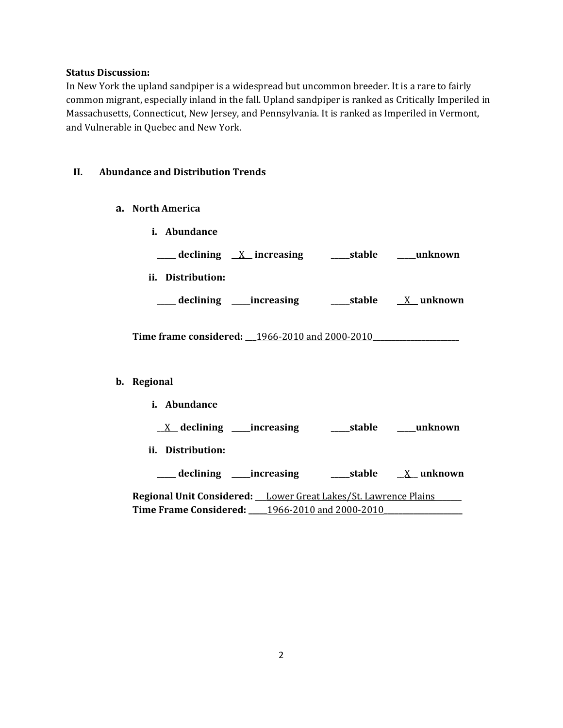#### **Status Discussion:**

In New York the upland sandpiper is a widespread but uncommon breeder. It is a rare to fairly common migrant, especially inland in the fall. Upland sandpiper is ranked as Critically Imperiled in Massachusetts, Connecticut, New Jersey, and Pennsylvania. It is ranked as Imperiled in Vermont, and Vulnerable in Quebec and New York.

# **II. Abundance and Distribution Trends**

- **a. North America**
	- **i. Abundance \_\_\_\_\_ declining** \_\_X\_\_ **increasing \_\_\_\_\_stable \_\_\_\_\_unknown**
	- **ii. Distribution:**
	- **\_\_\_\_\_ declining \_\_\_\_\_increasing \_\_\_\_\_stable** \_\_X\_\_ **unknown**

**Time frame considered: \_\_\_**1966-2010 and 2000-2010**\_\_\_\_\_\_\_\_\_\_\_\_\_\_\_\_\_\_\_\_\_\_\_**

### **b. Regional**

**i. Abundance** \_\_X\_\_ **declining \_\_\_\_\_increasing \_\_\_\_\_stable \_\_\_\_\_unknown ii. Distribution: \_\_\_\_\_ declining \_\_\_\_\_increasing \_\_\_\_\_stable** \_\_X\_\_ **unknown Regional Unit Considered: \_\_\_**Lower Great Lakes/St. Lawrence Plains**\_\_\_\_\_\_\_ Time Frame Considered: \_\_\_\_\_**1966-2010 and 2000-2010**\_\_\_\_\_\_\_\_\_\_\_\_\_\_\_\_\_\_\_\_\_**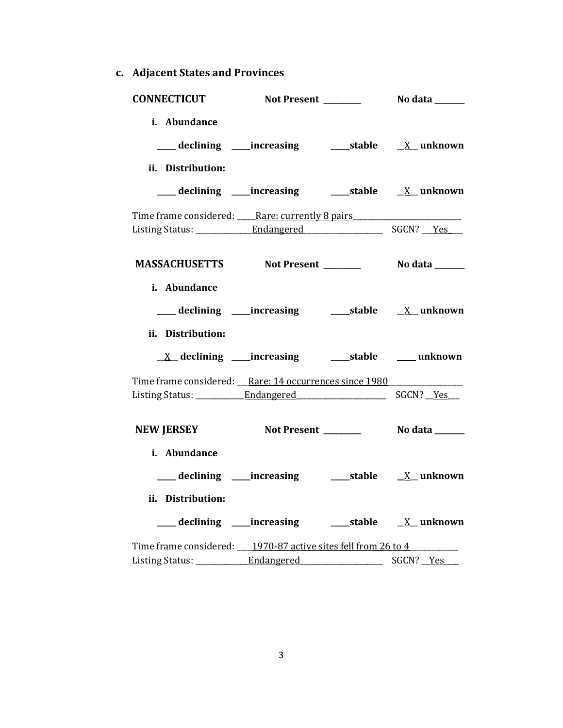**c. Adjacent States and Provinces**

| <b>CONNECTICUT</b>                                                 |                                                           |                  |
|--------------------------------------------------------------------|-----------------------------------------------------------|------------------|
| i. Abundance<br>ii. Distribution:                                  |                                                           |                  |
|                                                                    | ___ declining ____increasing ______stable ___ X__unknown  |                  |
| Time frame considered: Rare: currently 8 pairs                     |                                                           |                  |
|                                                                    |                                                           |                  |
| i. Abundance                                                       |                                                           |                  |
| ii. Distribution:                                                  | ___ declining ____increasing ______stable ___ X__ unknown |                  |
|                                                                    |                                                           |                  |
| Time frame considered: __Rare: 14 occurrences since 1980           |                                                           |                  |
|                                                                    |                                                           |                  |
| NEW JERSEY Not Present __________ No data ______                   |                                                           |                  |
| i. Abundance                                                       |                                                           |                  |
|                                                                    |                                                           |                  |
| ii. Distribution:                                                  |                                                           |                  |
|                                                                    |                                                           |                  |
| Time frame considered: ____ 1970-87 active sites fell from 26 to 4 |                                                           |                  |
|                                                                    |                                                           | SGCN? <u>Yes</u> |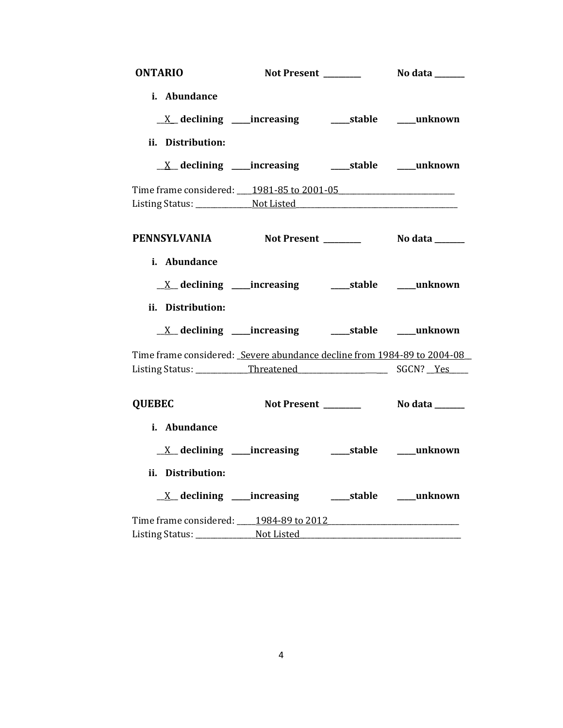| <b>ONTARIO</b>                                                          |                                                                         |                |
|-------------------------------------------------------------------------|-------------------------------------------------------------------------|----------------|
| i. Abundance                                                            |                                                                         |                |
|                                                                         | <u>X</u> declining ____increasing ______stable ____unknown              |                |
| ii. Distribution:                                                       |                                                                         |                |
|                                                                         |                                                                         |                |
| Time frame considered: 1981-85 to 2001-05                               |                                                                         |                |
|                                                                         |                                                                         |                |
| PENNSYLVANIA Not Present ________ No data _____                         |                                                                         |                |
| i. Abundance                                                            | $\underline{X}$ declining ____increasing __________stable ______unknown |                |
|                                                                         |                                                                         |                |
| ii. Distribution:                                                       |                                                                         |                |
|                                                                         | <u>X</u> declining ____increasing ______stable ____unknown              |                |
| Time frame considered: Severe abundance decline from 1984-89 to 2004-08 |                                                                         |                |
|                                                                         |                                                                         |                |
| <b>QUEBEC</b>                                                           | Not Present _______                                                     | No data ______ |
| i. Abundance                                                            |                                                                         |                |
|                                                                         | <u>X</u> declining ____increasing ______stable ____unknown              |                |
| ii. Distribution:                                                       |                                                                         |                |
|                                                                         |                                                                         |                |
|                                                                         |                                                                         |                |
| Time frame considered: 1984-89 to 2012                                  |                                                                         |                |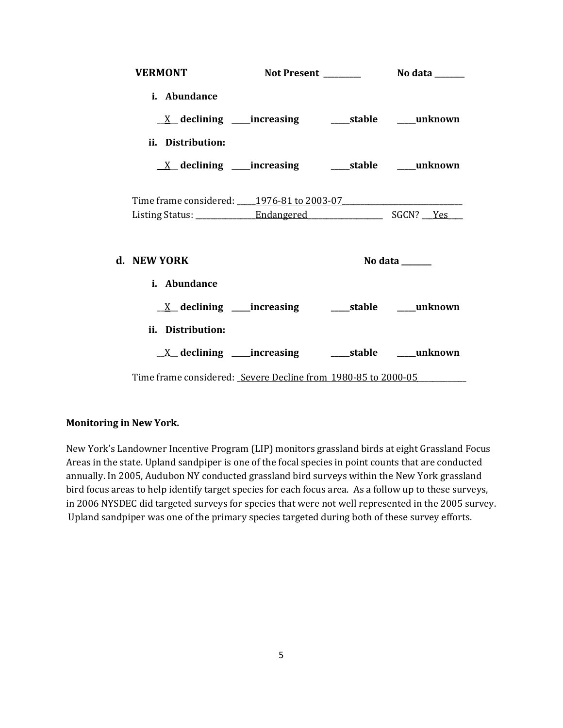| <b>VERMONT</b>                                                          |  |                                   |
|-------------------------------------------------------------------------|--|-----------------------------------|
| i. Abundance                                                            |  |                                   |
|                                                                         |  |                                   |
| ii. Distribution:                                                       |  |                                   |
| $\underline{X}$ declining ____increasing __________stable ______unknown |  |                                   |
| Time frame considered: 1976-81 to 2003-07                               |  |                                   |
|                                                                         |  |                                   |
| d. NEW YORK                                                             |  | No data $\_\_\_\_\_\_\_\_\_\_\_\$ |
| i. Abundance                                                            |  |                                   |
|                                                                         |  |                                   |
| ii. Distribution:                                                       |  |                                   |
| $\underline{X}$ declining ____increasing __________stable ______unknown |  |                                   |
| Time frame considered: Severe Decline from 1980-85 to 2000-05           |  |                                   |

### **Monitoring in New York.**

New York's Landowner Incentive Program (LIP) monitors grassland birds at eight Grassland Focus Areas in the state. Upland sandpiper is one of the focal species in point counts that are conducted annually. In 2005, Audubon NY conducted grassland bird surveys within the New York grassland bird focus areas to help identify target species for each focus area. As a follow up to these surveys, in 2006 NYSDEC did targeted surveys for species that were not well represented in the 2005 survey. Upland sandpiper was one of the primary species targeted during both of these survey efforts.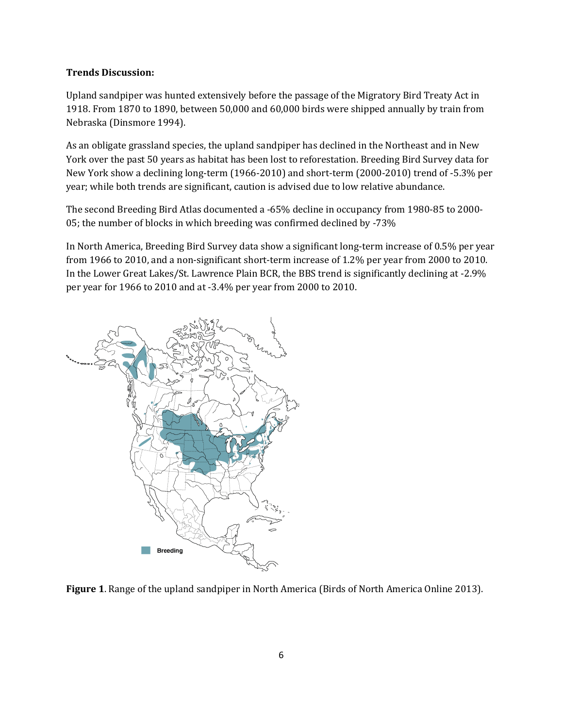### **Trends Discussion:**

Upland sandpiper was hunted extensively before the passage of the Migratory Bird Treaty Act in 1918. From 1870 to 1890, between 50,000 and 60,000 birds were shipped annually by train from Nebraska (Dinsmore 1994).

As an obligate grassland species, the upland sandpiper has declined in the Northeast and in New York over the past 50 years as habitat has been lost to reforestation. Breeding Bird Survey data for New York show a declining long-term (1966-2010) and short-term (2000-2010) trend of -5.3% per year; while both trends are significant, caution is advised due to low relative abundance.

The second Breeding Bird Atlas documented a -65% decline in occupancy from 1980-85 to 2000- 05; the number of blocks in which breeding was confirmed declined by -73%

In North America, Breeding Bird Survey data show a significant long-term increase of 0.5% per year from 1966 to 2010, and a non-significant short-term increase of 1.2% per year from 2000 to 2010. In the Lower Great Lakes/St. Lawrence Plain BCR, the BBS trend is significantly declining at -2.9% per year for 1966 to 2010 and at -3.4% per year from 2000 to 2010.



**Figure 1**. Range of the upland sandpiper in North America (Birds of North America Online 2013).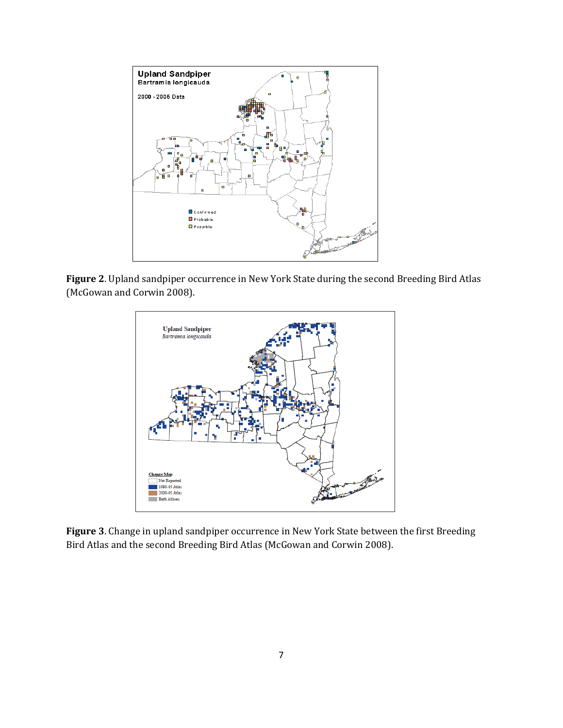

**Figure 2**. Upland sandpiper occurrence in New York State during the second Breeding Bird Atlas (McGowan and Corwin 2008).



**Figure 3**. Change in upland sandpiper occurrence in New York State between the first Breeding Bird Atlas and the second Breeding Bird Atlas (McGowan and Corwin 2008).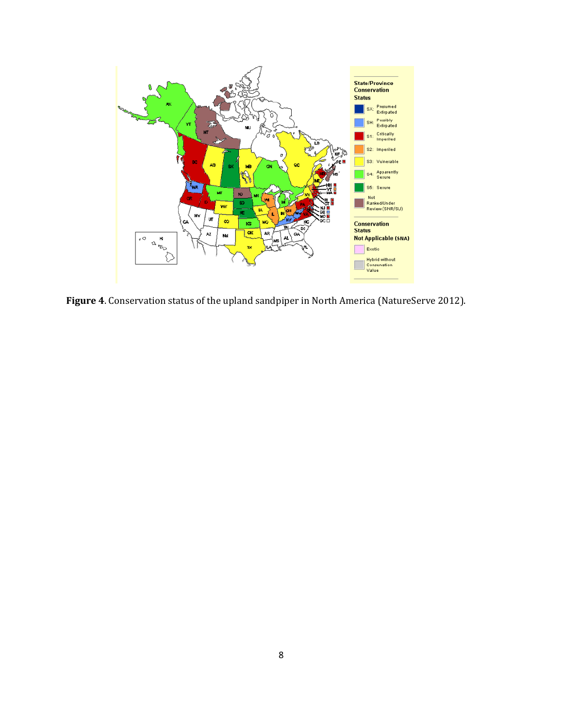

**Figure 4**. Conservation status of the upland sandpiper in North America (NatureServe 2012).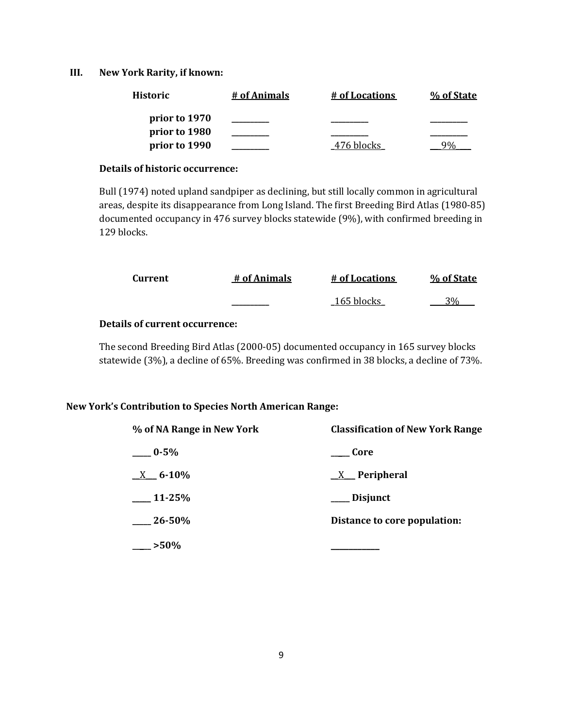## **III. New York Rarity, if known:**

| <b>Historic</b> | # of Animals | # of Locations | % of State |
|-----------------|--------------|----------------|------------|
| prior to 1970   |              |                |            |
| prior to 1980   |              |                |            |
| prior to 1990   |              | 476 blocks     |            |

#### **Details of historic occurrence:**

Bull (1974) noted upland sandpiper as declining, but still locally common in agricultural areas, despite its disappearance from Long Island. The first Breeding Bird Atlas (1980-85) documented occupancy in 476 survey blocks statewide (9%), with confirmed breeding in 129 blocks.

| Current | # of Animals | # of Locations | % of State |
|---------|--------------|----------------|------------|
|         |              | 165 blocks     | 20/        |

# **Details of current occurrence:**

The second Breeding Bird Atlas (2000-05) documented occupancy in 165 survey blocks statewide (3%), a decline of 65%. Breeding was confirmed in 38 blocks, a decline of 73%.

### **New York's Contribution to Species North American Range:**

| % of NA Range in New York | <b>Classification of New York Range</b> |
|---------------------------|-----------------------------------------|
| $-0.5\%$                  | Core                                    |
| $X = 6-10%$               | $X$ Peripheral                          |
| $11-25%$                  | ___ Disjunct                            |
| $-26 - 50%$               | Distance to core population:            |
| $-250%$                   |                                         |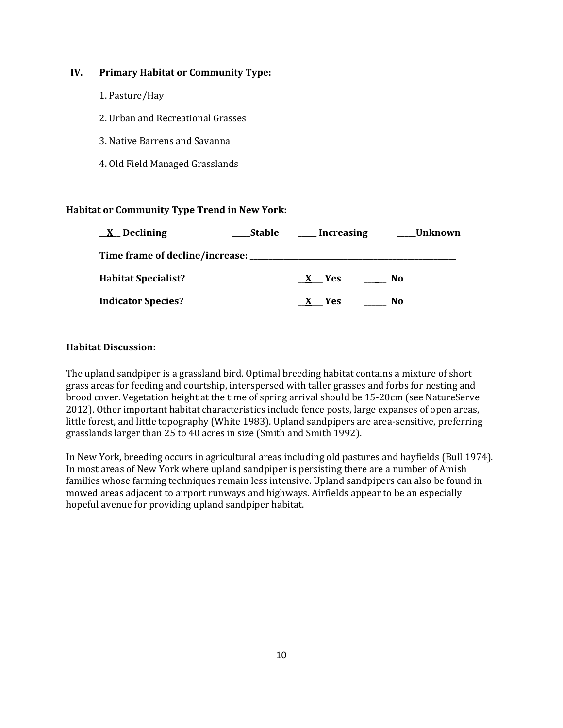# **IV. Primary Habitat or Community Type:**

- 1. Pasture/Hay
- 2. Urban and Recreational Grasses
- 3. Native Barrens and Savanna
- 4. Old Field Managed Grasslands

# **Habitat or Community Type Trend in New York:**

| $\underline{X}$ Declining  | <b>Stable</b> | <b>Increasing</b> | Unknown |
|----------------------------|---------------|-------------------|---------|
|                            |               |                   |         |
| <b>Habitat Specialist?</b> |               | X Yes             | No      |
| <b>Indicator Species?</b>  |               | X Yes             | No      |

# **Habitat Discussion:**

The upland sandpiper is a grassland bird. Optimal breeding habitat contains a mixture of short grass areas for feeding and courtship, interspersed with taller grasses and forbs for nesting and brood cover. Vegetation height at the time of spring arrival should be 15-20cm (see NatureServe 2012). Other important habitat characteristics include fence posts, large expanses of open areas, little forest, and little topography (White 1983). Upland sandpipers are area-sensitive, preferring grasslands larger than 25 to 40 acres in size (Smith and Smith 1992).

In New York, breeding occurs in agricultural areas including old pastures and hayfields (Bull 1974). In most areas of New York where upland sandpiper is persisting there are a number of Amish families whose farming techniques remain less intensive. Upland sandpipers can also be found in mowed areas adjacent to airport runways and highways. Airfields appear to be an especially hopeful avenue for providing upland sandpiper habitat.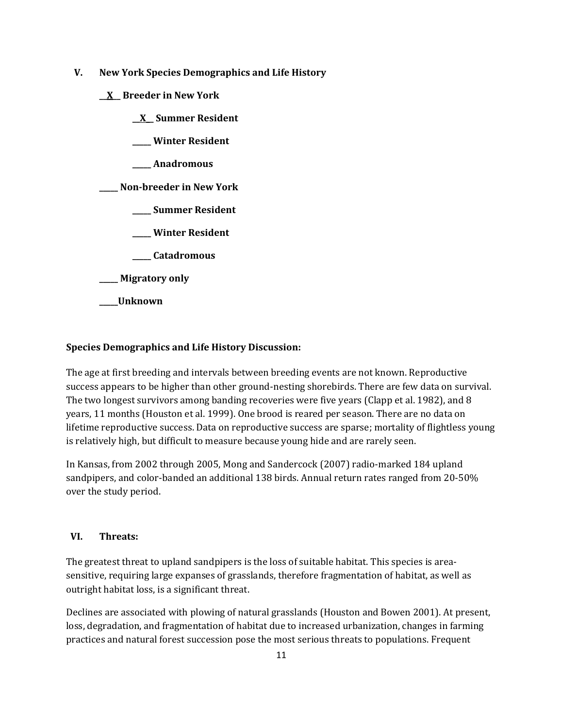- **V. New York Species Demographics and Life History**
	- **\_\_X\_\_ Breeder in New York**
		- **\_\_X\_\_ Summer Resident**
		- **\_\_\_\_\_ Winter Resident**
		- **\_\_\_\_\_ Anadromous**

**\_\_\_\_\_ Non-breeder in New York**

- **\_\_\_\_\_ Summer Resident**
- **\_\_\_\_\_ Winter Resident**
- **\_\_\_\_\_ Catadromous**
- **\_\_\_\_\_ Migratory only**
- **\_\_\_\_\_Unknown**

# **Species Demographics and Life History Discussion:**

The age at first breeding and intervals between breeding events are not known. Reproductive success appears to be higher than other ground-nesting shorebirds. There are few data on survival. The two longest survivors among banding recoveries were five years (Clapp et al. 1982), and 8 years, 11 months (Houston et al. 1999). One brood is reared per season. There are no data on lifetime reproductive success. Data on reproductive success are sparse; mortality of flightless young is relatively high, but difficult to measure because young hide and are rarely seen.

In Kansas, from 2002 through 2005, Mong and Sandercock (2007) radio-marked 184 upland sandpipers, and color-banded an additional 138 birds. Annual return rates ranged from 20-50% over the study period.

# **VI. Threats:**

The greatest threat to upland sandpipers is the loss of suitable habitat. This species is areasensitive, requiring large expanses of grasslands, therefore fragmentation of habitat, as well as outright habitat loss, is a significant threat.

Declines are associated with plowing of natural grasslands (Houston and Bowen 2001). At present, loss, degradation, and fragmentation of habitat due to increased urbanization, changes in farming practices and natural forest succession pose the most serious threats to populations. Frequent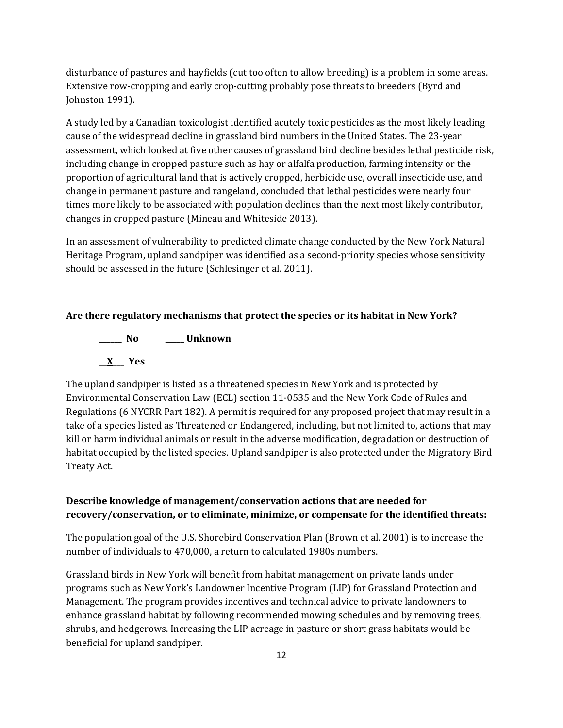disturbance of pastures and hayfields (cut too often to allow breeding) is a problem in some areas. Extensive row-cropping and early crop-cutting probably pose threats to breeders (Byrd and Johnston 1991).

A study led by a Canadian toxicologist identified acutely toxic pesticides as the most likely leading cause of the widespread decline in grassland bird numbers in the United States. The 23-year assessment, which looked at five other causes of grassland bird decline besides lethal pesticide risk, including change in cropped pasture such as hay or alfalfa production, farming intensity or the proportion of agricultural land that is actively cropped, herbicide use, overall insecticide use, and change in permanent pasture and rangeland, concluded that lethal pesticides were nearly four times more likely to be associated with population declines than the next most likely contributor, changes in cropped pasture (Mineau and Whiteside 2013).

In an assessment of vulnerability to predicted climate change conducted by the New York Natural Heritage Program, upland sandpiper was identified as a second-priority species whose sensitivity should be assessed in the future (Schlesinger et al. 2011).

# **Are there regulatory mechanisms that protect the species or its habitat in New York?**

**\_\_\_\_\_\_ No \_\_\_\_\_ Unknown \_\_X\_\_\_ Yes** 

The upland sandpiper is listed as a threatened species in New York and is protected by Environmental Conservation Law (ECL) section 11-0535 and the New York Code of Rules and Regulations (6 NYCRR Part 182). A permit is required for any proposed project that may result in a take of a species listed as Threatened or Endangered, including, but not limited to, actions that may kill or harm individual animals or result in the adverse modification, degradation or destruction of habitat occupied by the listed species. Upland sandpiper is also protected under the Migratory Bird Treaty Act.

# **Describe knowledge of management/conservation actions that are needed for recovery/conservation, or to eliminate, minimize, or compensate for the identified threats:**

The population goal of the U.S. Shorebird Conservation Plan (Brown et al. 2001) is to increase the number of individuals to 470,000, a return to calculated 1980s numbers.

Grassland birds in New York will benefit from habitat management on private lands under programs such as New York's Landowner Incentive Program (LIP) for Grassland Protection and Management. The program provides incentives and technical advice to private landowners to enhance grassland habitat by following recommended mowing schedules and by removing trees, shrubs, and hedgerows. Increasing the LIP acreage in pasture or short grass habitats would be beneficial for upland sandpiper.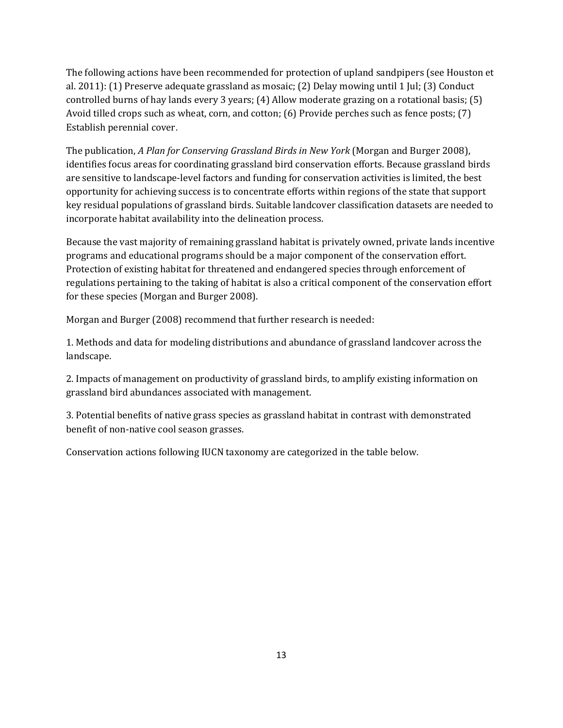The following actions have been recommended for protection of upland sandpipers (see Houston et al. 2011): (1) Preserve adequate grassland as mosaic; (2) Delay mowing until 1 Jul; (3) Conduct controlled burns of hay lands every 3 years; (4) Allow moderate grazing on a rotational basis; (5) Avoid tilled crops such as wheat, corn, and cotton; (6) Provide perches such as fence posts; (7) Establish perennial cover.

The publication, *A Plan for Conserving Grassland Birds in New York* (Morgan and Burger 2008), identifies focus areas for coordinating grassland bird conservation efforts. Because grassland birds are sensitive to landscape-level factors and funding for conservation activities is limited, the best opportunity for achieving success is to concentrate efforts within regions of the state that support key residual populations of grassland birds. Suitable landcover classification datasets are needed to incorporate habitat availability into the delineation process.

Because the vast majority of remaining grassland habitat is privately owned, private lands incentive programs and educational programs should be a major component of the conservation effort. Protection of existing habitat for threatened and endangered species through enforcement of regulations pertaining to the taking of habitat is also a critical component of the conservation effort for these species (Morgan and Burger 2008).

Morgan and Burger (2008) recommend that further research is needed:

1. Methods and data for modeling distributions and abundance of grassland landcover across the landscape.

2. Impacts of management on productivity of grassland birds, to amplify existing information on grassland bird abundances associated with management.

3. Potential benefits of native grass species as grassland habitat in contrast with demonstrated benefit of non-native cool season grasses.

Conservation actions following IUCN taxonomy are categorized in the table below.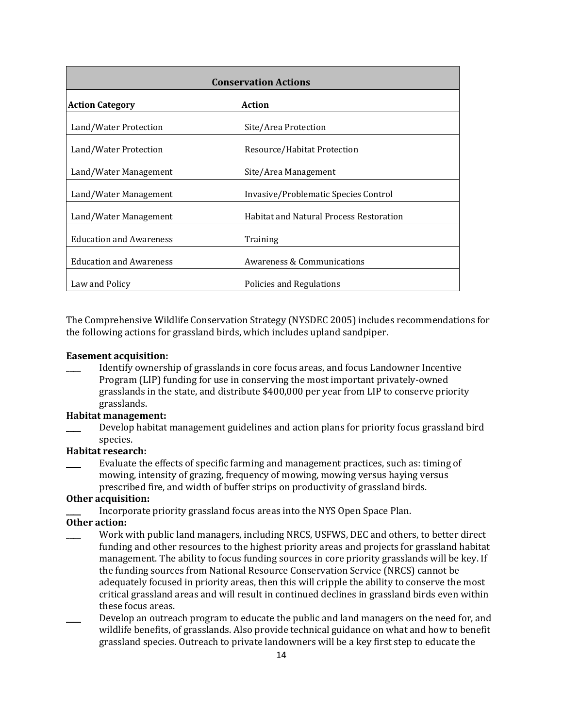| <b>Conservation Actions</b>             |                                                |  |
|-----------------------------------------|------------------------------------------------|--|
| <b>Action</b><br><b>Action Category</b> |                                                |  |
| Land/Water Protection                   | Site/Area Protection                           |  |
| Land/Water Protection                   | Resource/Habitat Protection                    |  |
| Land/Water Management                   | Site/Area Management                           |  |
| Land/Water Management                   | Invasive/Problematic Species Control           |  |
| Land/Water Management                   | <b>Habitat and Natural Process Restoration</b> |  |
| <b>Education and Awareness</b>          | Training                                       |  |
| <b>Education and Awareness</b>          | Awareness & Communications                     |  |
| Law and Policy                          | Policies and Regulations                       |  |

The Comprehensive Wildlife Conservation Strategy (NYSDEC 2005) includes recommendations for the following actions for grassland birds, which includes upland sandpiper.

#### **Easement acquisition:**

\_\_\_\_ Identify ownership of grasslands in core focus areas, and focus Landowner Incentive Program (LIP) funding for use in conserving the most important privately-owned grasslands in the state, and distribute \$400,000 per year from LIP to conserve priority grasslands.

# **Habitat management:**

\_\_\_\_ Develop habitat management guidelines and action plans for priority focus grassland bird species.

# **Habitat research:**

Evaluate the effects of specific farming and management practices, such as: timing of mowing, intensity of grazing, frequency of mowing, mowing versus haying versus prescribed fire, and width of buffer strips on productivity of grassland birds.

#### **Other acquisition:**

Incorporate priority grassland focus areas into the NYS Open Space Plan.

## **Other action:**

- Work with public land managers, including NRCS, USFWS, DEC and others, to better direct funding and other resources to the highest priority areas and projects for grassland habitat management. The ability to focus funding sources in core priority grasslands will be key. If the funding sources from National Resource Conservation Service (NRCS) cannot be adequately focused in priority areas, then this will cripple the ability to conserve the most critical grassland areas and will result in continued declines in grassland birds even within these focus areas.
- Develop an outreach program to educate the public and land managers on the need for, and wildlife benefits, of grasslands. Also provide technical guidance on what and how to benefit grassland species. Outreach to private landowners will be a key first step to educate the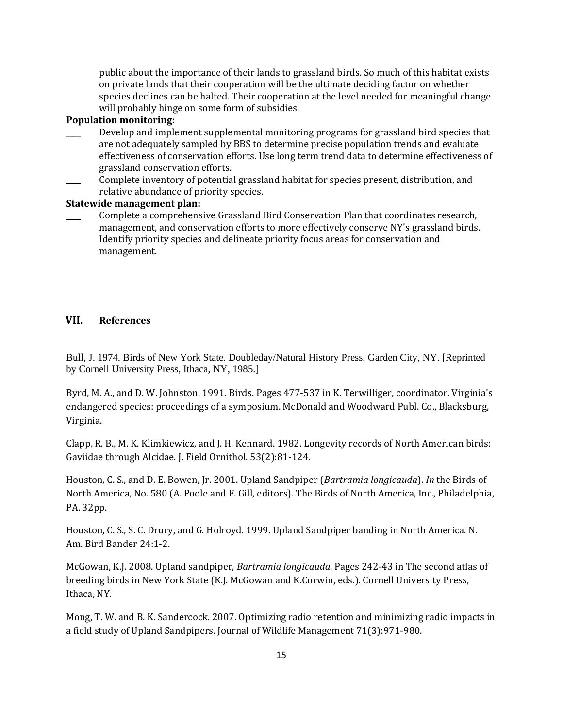public about the importance of their lands to grassland birds. So much of this habitat exists on private lands that their cooperation will be the ultimate deciding factor on whether species declines can be halted. Their cooperation at the level needed for meaningful change will probably hinge on some form of subsidies.

#### **Population monitoring:**

- Develop and implement supplemental monitoring programs for grassland bird species that are not adequately sampled by BBS to determine precise population trends and evaluate effectiveness of conservation efforts. Use long term trend data to determine effectiveness of grassland conservation efforts.
- Complete inventory of potential grassland habitat for species present, distribution, and relative abundance of priority species.

### **Statewide management plan:**

\_\_\_\_ Complete a comprehensive Grassland Bird Conservation Plan that coordinates research, management, and conservation efforts to more effectively conserve NY's grassland birds. Identify priority species and delineate priority focus areas for conservation and management.

## **VII. References**

Bull, J. 1974. Birds of New York State. Doubleday/Natural History Press, Garden City, NY. [Reprinted by Cornell University Press, Ithaca, NY, 1985.]

Byrd, M. A., and D. W. Johnston. 1991. Birds. Pages 477-537 in K. Terwilliger, coordinator. Virginia's endangered species: proceedings of a symposium. McDonald and Woodward Publ. Co., Blacksburg, Virginia.

Clapp, R. B., M. K. Klimkiewicz, and J. H. Kennard. 1982. Longevity records of North American birds: Gaviidae through Alcidae. J. Field Ornithol. 53(2):81-124.

Houston, C. S., and D. E. Bowen, Jr. 2001. Upland Sandpiper (*Bartramia longicauda*). *In* the Birds of North America, No. 580 (A. Poole and F. Gill, editors). The Birds of North America, Inc., Philadelphia, PA. 32pp.

Houston, C. S., S. C. Drury, and G. Holroyd. 1999. Upland Sandpiper banding in North America. N. Am. Bird Bander 24:1-2.

McGowan, K.J. 2008. Upland sandpiper, *Bartramia longicauda*. Pages 242-43 in The second atlas of breeding birds in New York State (K.J. McGowan and K.Corwin, eds.). Cornell University Press, Ithaca, NY.

Mong, T. W. and B. K. Sandercock. 2007. Optimizing radio retention and minimizing radio impacts in a field study of Upland Sandpipers. Journal of Wildlife Management 71(3):971-980.